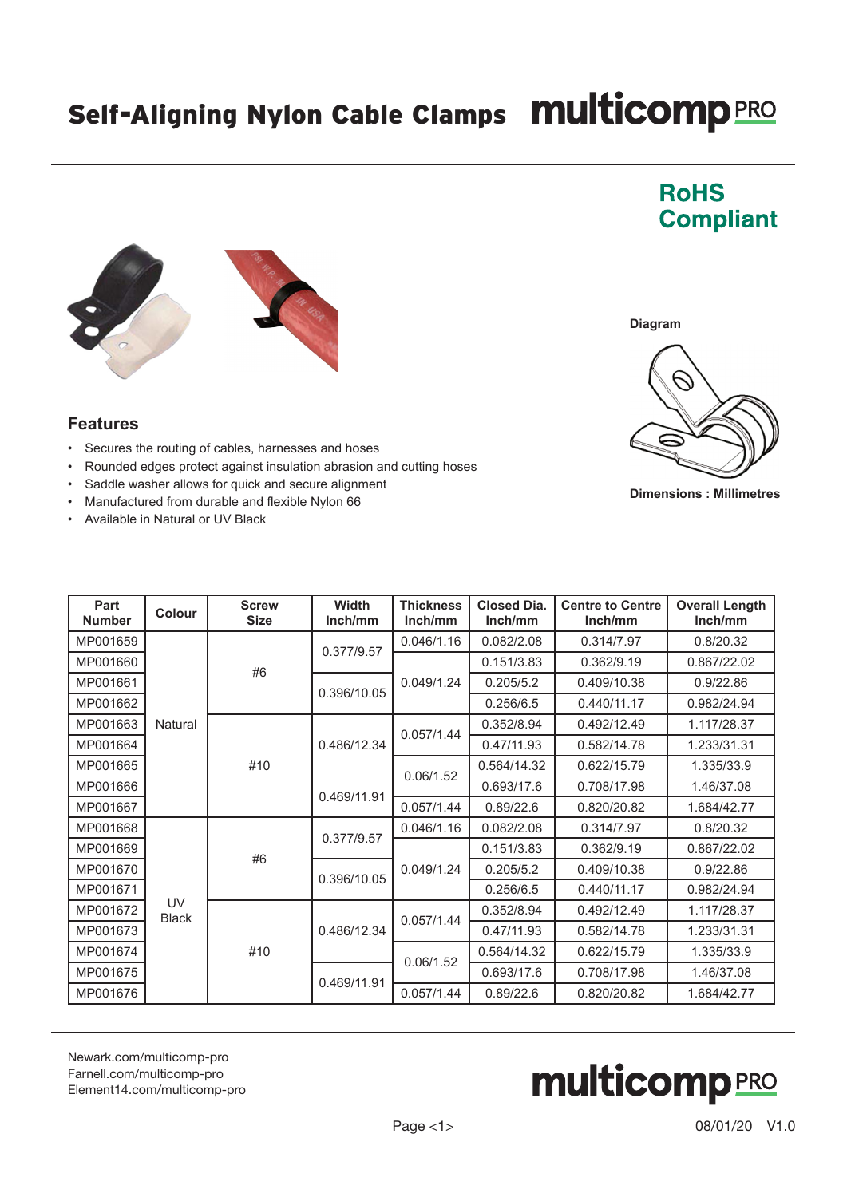## Self-Aligning Nylon Cable Clamps Multicomp PRO

## **Features**

- Secures the routing of cables, harnesses and hoses
- Rounded edges protect against insulation abrasion and cutting hoses
- Saddle washer allows for quick and secure alignment
- Manufactured from durable and flexible Nylon 66
- Available in Natural or UV Black

| Part<br><b>Number</b> | Colour                    | <b>Screw</b><br><b>Size</b> | <b>Width</b><br>Inch/mm | <b>Thickness</b><br>Inch/mm | <b>Closed Dia.</b><br>Inch/mm | <b>Centre to Centre</b><br>Inch/mm | <b>Overall Length</b><br>Inch/mm |
|-----------------------|---------------------------|-----------------------------|-------------------------|-----------------------------|-------------------------------|------------------------------------|----------------------------------|
| MP001659              | Natural                   | #6                          | 0.377/9.57              | 0.046/1.16                  | 0.082/2.08                    | 0.314/7.97                         | 0.8/20.32                        |
| MP001660              |                           |                             |                         | 0.049/1.24                  | 0.151/3.83                    | 0.362/9.19                         | 0.867/22.02                      |
| MP001661              |                           |                             | 0.396/10.05             |                             | 0.205/5.2                     | 0.409/10.38                        | 0.9/22.86                        |
| MP001662              |                           |                             |                         |                             | 0.256/6.5                     | 0.440/11.17                        | 0.982/24.94                      |
| MP001663              |                           | #10                         | 0.486/12.34             | 0.057/1.44                  | 0.352/8.94                    | 0.492/12.49                        | 1.117/28.37                      |
| MP001664              |                           |                             |                         |                             | 0.47/11.93                    | 0.582/14.78                        | 1.233/31.31                      |
| MP001665              |                           |                             |                         | 0.06/1.52                   | 0.564/14.32                   | 0.622/15.79                        | 1.335/33.9                       |
| MP001666              |                           |                             | 0.469/11.91             |                             | 0.693/17.6                    | 0.708/17.98                        | 1.46/37.08                       |
| MP001667              |                           |                             |                         | 0.057/1.44                  | 0.89/22.6                     | 0.820/20.82                        | 1.684/42.77                      |
| MP001668              | <b>UV</b><br><b>Black</b> | #6                          | 0.377/9.57              | 0.046/1.16                  | 0.082/2.08                    | 0.314/7.97                         | 0.8/20.32                        |
| MP001669              |                           |                             |                         | 0.049/1.24                  | 0.151/3.83                    | 0.362/9.19                         | 0.867/22.02                      |
| MP001670              |                           |                             | 0.396/10.05             |                             | 0.205/5.2                     | 0.409/10.38                        | 0.9/22.86                        |
| MP001671              |                           |                             |                         |                             | 0.256/6.5                     | 0.440/11.17                        | 0.982/24.94                      |
| MP001672              |                           | #10                         | 0.486/12.34             | 0.057/1.44                  | 0.352/8.94                    | 0.492/12.49                        | 1.117/28.37                      |
| MP001673              |                           |                             |                         |                             | 0.47/11.93                    | 0.582/14.78                        | 1.233/31.31                      |
| MP001674              |                           |                             |                         | 0.06/1.52                   | 0.564/14.32                   | 0.622/15.79                        | 1.335/33.9                       |
| MP001675              |                           |                             | 0.469/11.91             |                             | 0.693/17.6                    | 0.708/17.98                        | 1.46/37.08                       |
| MP001676              |                           |                             |                         | 0.057/1.44                  | 0.89/22.6                     | 0.820/20.82                        | 1.684/42.77                      |

[Newark.com/multicomp-](https://www.newark.com/multicomp-pro)pro [Farnell.com/multicomp](https://www.farnell.com/multicomp-pro)-pro [Element14.com/multicomp-pro](https://element14.com/multicomp-pro)



**Dimensions : Millimetres**







**Diagram**